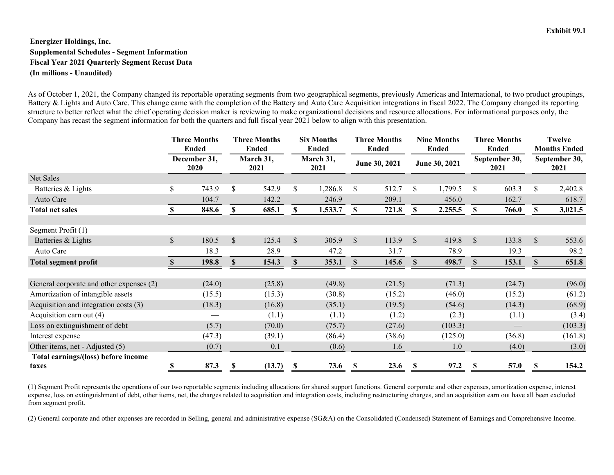## **Energizer Holdings, Inc. Supplemental Schedules - Segment Information Fiscal Year 2021 Quarterly Segment Recast Data (In millions - Unaudited)**

As of October 1, 2021, the Company changed its reportable operating segments from two geographical segments, previously Americas and International, to two product groupings, Battery & Lights and Auto Care. This change came with the completion of the Battery and Auto Care Acquisition integrations in fiscal 2022. The Company changed its reporting structure to better reflect what the chief operating decision maker is reviewing to make organizational decisions and resource allocations. For informational purposes only, the Company has recast the segment information for both the quarters and full fiscal year 2021 below to align with this presentation.

|                                              | <b>Three Months</b><br><b>Ended</b><br>December 31,<br><b>2020</b> |        | <b>Three Months</b><br><b>Ended</b><br>March 31,<br>2021 |        | <b>Six Months</b><br><b>Ended</b><br>March 31,<br>2021 |         | <b>Three Months</b><br>Ended<br>June 30, 2021 |        | <b>Nine Months</b><br><b>Ended</b><br>June 30, 2021 |         | <b>Three Months</b><br><b>Ended</b><br>September 30,<br>2021 |        | <b>Twelve</b><br><b>Months Ended</b><br>September 30,<br>2021 |         |
|----------------------------------------------|--------------------------------------------------------------------|--------|----------------------------------------------------------|--------|--------------------------------------------------------|---------|-----------------------------------------------|--------|-----------------------------------------------------|---------|--------------------------------------------------------------|--------|---------------------------------------------------------------|---------|
|                                              |                                                                    |        |                                                          |        |                                                        |         |                                               |        |                                                     |         |                                                              |        |                                                               |         |
| Net Sales                                    |                                                                    |        |                                                          |        |                                                        |         |                                               |        |                                                     |         |                                                              |        |                                                               |         |
| Batteries & Lights                           | \$                                                                 | 743.9  | \$                                                       | 542.9  | \$                                                     | 1,286.8 | $\mathbb{S}$                                  | 512.7  | $\mathbb{S}$                                        | 1,799.5 | $\mathbb{S}$                                                 | 603.3  | \$                                                            | 2,402.8 |
| Auto Care                                    |                                                                    | 104.7  |                                                          | 142.2  |                                                        | 246.9   |                                               | 209.1  |                                                     | 456.0   |                                                              | 162.7  |                                                               | 618.7   |
| <b>Total net sales</b>                       |                                                                    | 848.6  |                                                          | 685.1  |                                                        | 1,533.7 |                                               | 721.8  |                                                     | 2,255.5 |                                                              | 766.0  |                                                               | 3,021.5 |
|                                              |                                                                    |        |                                                          |        |                                                        |         |                                               |        |                                                     |         |                                                              |        |                                                               |         |
| Segment Profit (1)                           |                                                                    |        |                                                          |        |                                                        |         |                                               |        |                                                     |         |                                                              |        |                                                               |         |
| Batteries & Lights                           | \$                                                                 | 180.5  | $\mathcal{S}$                                            | 125.4  | $\mathbb{S}$                                           | 305.9   | $\mathbb{S}$                                  | 113.9  | $\mathcal{S}$                                       | 419.8   | $\mathcal{S}$                                                | 133.8  | $\mathbb{S}$                                                  | 553.6   |
| Auto Care                                    |                                                                    | 18.3   |                                                          | 28.9   |                                                        | 47.2    |                                               | 31.7   |                                                     | 78.9    |                                                              | 19.3   |                                                               | 98.2    |
| <b>Total segment profit</b>                  | SS.                                                                | 198.8  | <sup>\$</sup>                                            | 154.3  | <b>S</b>                                               | 353.1   | <b>S</b>                                      | 145.6  | <b>S</b>                                            | 498.7   | <sup>\$</sup>                                                | 153.1  | <sup>\$</sup>                                                 | 651.8   |
|                                              |                                                                    |        |                                                          |        |                                                        |         |                                               |        |                                                     |         |                                                              |        |                                                               |         |
| General corporate and other expenses (2)     |                                                                    | (24.0) |                                                          | (25.8) |                                                        | (49.8)  |                                               | (21.5) |                                                     | (71.3)  |                                                              | (24.7) |                                                               | (96.0)  |
| Amortization of intangible assets            |                                                                    | (15.5) |                                                          | (15.3) |                                                        | (30.8)  |                                               | (15.2) |                                                     | (46.0)  |                                                              | (15.2) |                                                               | (61.2)  |
| Acquisition and integration costs (3)        |                                                                    | (18.3) |                                                          | (16.8) |                                                        | (35.1)  |                                               | (19.5) |                                                     | (54.6)  |                                                              | (14.3) |                                                               | (68.9)  |
| Acquisition earn out (4)                     |                                                                    |        |                                                          | (1.1)  |                                                        | (1.1)   |                                               | (1.2)  |                                                     | (2.3)   |                                                              | (1.1)  |                                                               | (3.4)   |
| Loss on extinguishment of debt               |                                                                    | (5.7)  |                                                          | (70.0) |                                                        | (75.7)  |                                               | (27.6) |                                                     | (103.3) |                                                              |        |                                                               | (103.3) |
| Interest expense                             |                                                                    | (47.3) |                                                          | (39.1) |                                                        | (86.4)  |                                               | (38.6) |                                                     | (125.0) |                                                              | (36.8) |                                                               | (161.8) |
| Other items, net - Adjusted (5)              |                                                                    | (0.7)  |                                                          | 0.1    |                                                        | (0.6)   |                                               | 1.6    |                                                     | 1.0     |                                                              | (4.0)  |                                                               | (3.0)   |
| Total earnings/(loss) before income<br>taxes | S                                                                  | 87.3   | -S                                                       | (13.7) | S,                                                     | 73.6    | -86                                           | 23.6   |                                                     | 97.2    |                                                              | 57.0   |                                                               | 154.2   |

(1) Segment Profit represents the operations of our two reportable segments including allocations for shared support functions. General corporate and other expenses, amortization expense, interest expense, loss on extinguishment of debt, other items, net, the charges related to acquisition and integration costs, including restructuring charges, and an acquisition earn out have all been excluded from segment profit.

(2) General corporate and other expenses are recorded in Selling, general and administrative expense (SG&A) on the Consolidated (Condensed) Statement of Earnings and Comprehensive Income.